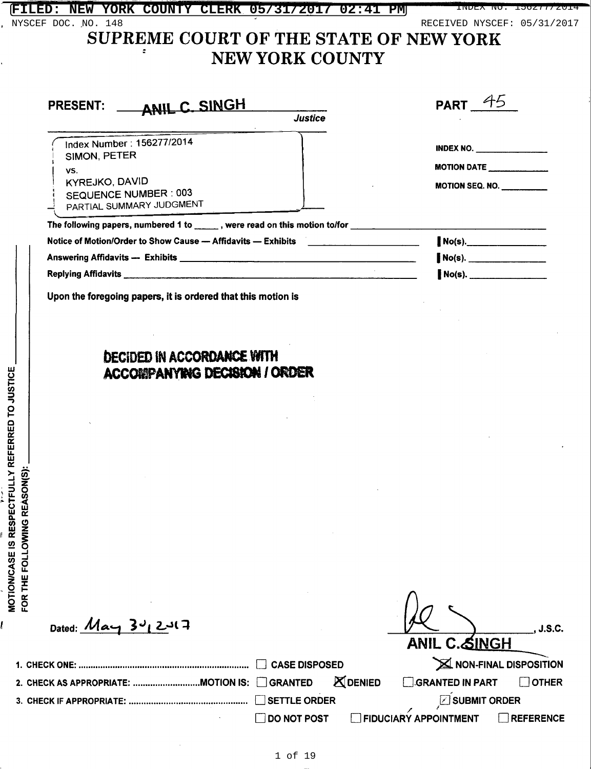|                              | ANIL C. SINGH<br><b>PRESENT:</b><br><b>Justice</b>                                              | PART $45$                                                         |
|------------------------------|-------------------------------------------------------------------------------------------------|-------------------------------------------------------------------|
|                              |                                                                                                 |                                                                   |
|                              | Index Number: 156277/2014<br>SIMON, PETER                                                       | <b>INDEX NO.</b> ________________                                 |
|                              | VS.                                                                                             | MOTION DATE                                                       |
|                              | <b>KYREJKO, DAVID</b><br>SEQUENCE NUMBER: 003<br>PARTIAL SUMMARY JUDGMENT                       | MOTION SEQ. NO.                                                   |
|                              | The following papers, numbered 1 to ______, were read on this motion to/for _____               |                                                                   |
|                              | Notice of Motion/Order to Show Cause — Affidavits — Exhibits ___________________                | $No(s)$ .                                                         |
|                              |                                                                                                 | $No(s)$ .                                                         |
|                              |                                                                                                 | $NO(s)$ .                                                         |
|                              |                                                                                                 |                                                                   |
|                              | Upon the foregoing papers, it is ordered that this motion is                                    |                                                                   |
|                              | <b>DECIDED IN ACCORDANCE WITH</b><br>ACCORPANYING DECISION / ORDER                              |                                                                   |
|                              |                                                                                                 |                                                                   |
|                              |                                                                                                 |                                                                   |
|                              |                                                                                                 |                                                                   |
|                              |                                                                                                 |                                                                   |
|                              |                                                                                                 |                                                                   |
|                              | Dated: $Max_1$ 3 $4$ 2 $4$                                                                      | J.S.C.                                                            |
|                              |                                                                                                 | <u>ANIL C.&amp;INGH</u>                                           |
| FOR THE FOLLOWING REASON(S): | <b>CASE DISPOSED</b><br><b>ZDENIED</b><br><b>GRANTED</b><br>2. CHECK AS APPROPRIATE: MOTION IS: | X NON-FINAL DISPOSITION<br><b>GRANTED IN PART</b><br><b>OTHER</b> |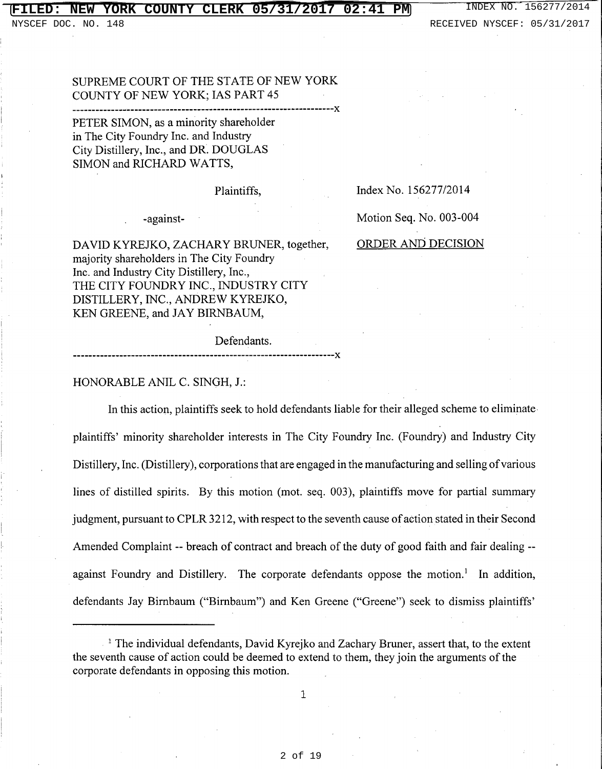### **FILERK 05/31/2017 02:41 PM** INDEX NO. 156277/2014

### SUPREME COURT OF THE STATE OF NEW YORK COUNTY OF NEW YORK; IAS PART 45

PETER SIMON, as a minority shareholder in The City Foundry Inc. and Industry City Distillery, Inc., and DR. DOUGLAS SIMON and RICHARD WATTS,

Plaintiffs,

Index No. 156277/2014

-against-

DAVID KYREJKO, ZACHARY BRUNER, together, majority shareholders in The City Foundry Inc. and Industry City Distillery, Inc., THE CITY FOUNDRY INC., INDUSTRY CITY DISTILLERY, INC., ANDREW KYREJKO, KEN GREENE, and JAY BIRNBAUM,

Motion Seq. No. 003-004

### ORDER AND DECISION

Defendants.

HONORABLE ANIL C. SINGH, J.:

In this action, plaintiffs seek to hold defendants liable for their alleged scheme to eliminate plaintiffs' minority shareholder interests in The City Foundry Inc. (Foundry) and Industry City Distillery, Inc. (Distillery), corporations that are engaged in the manufacturing and selling of various lines of distilled spirits. By this motion (mot. seq. 003), plaintiffs move for partial summary judgment, pursuant to CPLR 3212, with respect to the seventh cause of action stated in their Second Amended Complaint -- breach of contract and breach of the duty of good faith and fair dealing -against Foundry and Distillery. The corporate defendants oppose the motion.<sup>1</sup> In addition, defendants Jay Birnbaum ("Birnbaum") and Ken Greene ("Greene") seek to dismiss plaintiffs'

----------X

 $\mathbf{1}$ 

<sup>&</sup>lt;sup>1</sup> The individual defendants, David Kyrejko and Zachary Bruner, assert that, to the extent the seventh cause of action could be deemed to extend to them, they join the arguments of the corporate defendants in opposing this motion.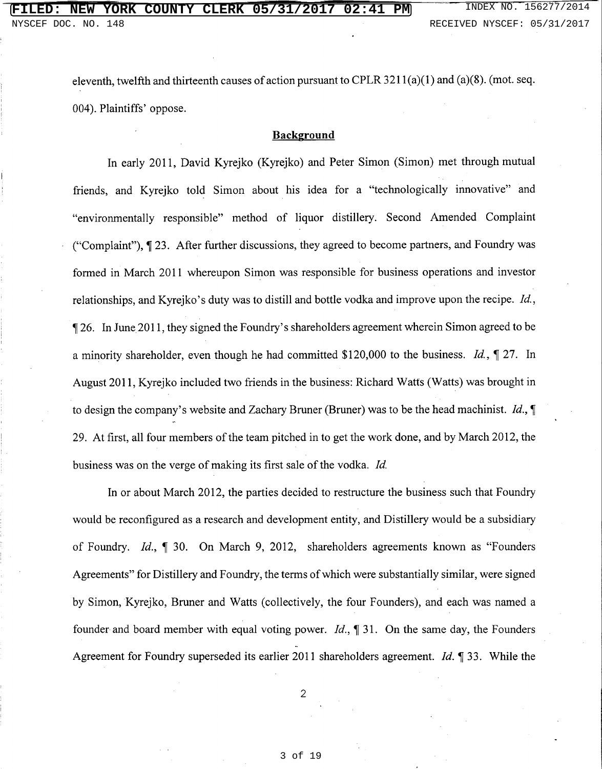eleventh, twelfth and thirteenth causes of action pursuant to CPLR  $3211(a)(1)$  and  $(a)(8)$ . (mot. seq. 004). Plaintiffs' oppose.

### **Background**

In early 2011, David Kyreiko (Kyreiko) and Peter Simon (Simon) met through mutual friends, and Kyrejko told Simon about his idea for a "technologically innovative" and "environmentally responsible" method of liquor distillery. Second Amended Complaint ("Complaint"), ¶ 23. After further discussions, they agreed to become partners, and Foundry was formed in March 2011 whereupon Simon was responsible for business operations and investor relationships, and Kyrejko's duty was to distill and bottle vodka and improve upon the recipe. Id., 126. In June 2011, they signed the Foundry's shareholders agreement wherein Simon agreed to be a minority shareholder, even though he had committed \$120,000 to the business. *Id.*,  $\oint$  27. In August 2011, Kyrejko included two friends in the business: Richard Watts (Watts) was brought in to design the company's website and Zachary Bruner (Bruner) was to be the head machinist. Id.,  $\P$ 29. At first, all four members of the team pitched in to get the work done, and by March 2012, the business was on the verge of making its first sale of the vodka. Id.

In or about March 2012, the parties decided to restructure the business such that Foundry would be reconfigured as a research and development entity, and Distillery would be a subsidiary of Foundry. Id., ¶ 30. On March 9, 2012, shareholders agreements known as "Founders" Agreements" for Distillery and Foundry, the terms of which were substantially similar, were signed by Simon, Kyrejko, Bruner and Watts (collectively, the four Founders), and each was named a founder and board member with equal voting power. *Id.*,  $\P$  31. On the same day, the Founders Agreement for Foundry superseded its earlier 2011 shareholders agreement. *Id.* 1 33. While the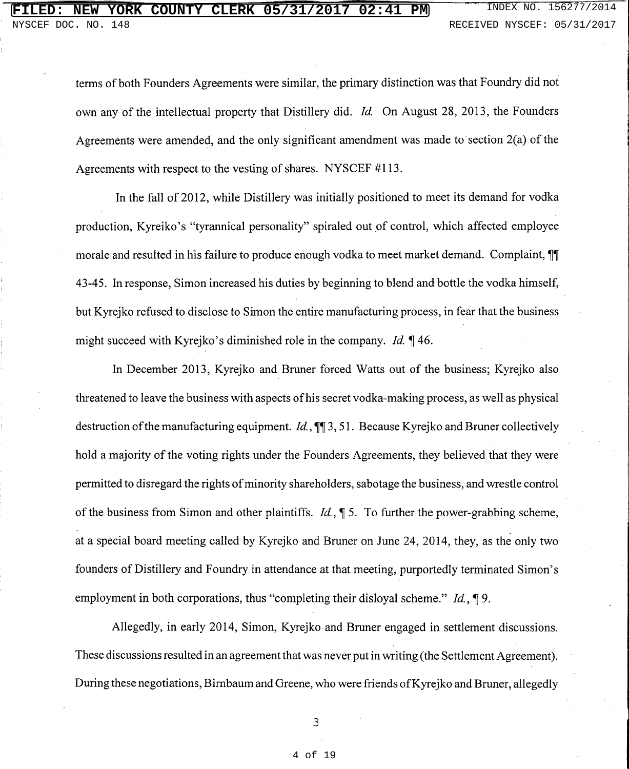terms of both Founders Agreements were similar, the primary distinction was that Foundry did not own any of the intellectual property that Distillery did. Id. On August 28, 2013, the Founders Agreements were amended, and the only significant amendment was made to section  $2(a)$  of the Agreements with respect to the vesting of shares. NYSCEF #113.

In the fall of 2012, while Distillery was initially positioned to meet its demand for vodka production, Kyreiko's "tyrannical personality" spiraled out of control, which affected employee morale and resulted in his failure to produce enough vodka to meet market demand. Complaint, II 43-45. In response, Simon increased his duties by beginning to blend and bottle the vodka himself, but Kyrejko refused to disclose to Simon the entire manufacturing process, in fear that the business might succeed with Kyrejko's diminished role in the company. *Id.* 146.

In December 2013, Kyrejko and Bruner forced Watts out of the business; Kyrejko also threatened to leave the business with aspects of his secret vodka-making process, as well as physical destruction of the manufacturing equipment. *Id.*,  $\P$  3, 51. Because Kyrejko and Bruner collectively hold a majority of the voting rights under the Founders Agreements, they believed that they were permitted to disregard the rights of minority shareholders, sabotage the business, and wrestle control of the business from Simon and other plaintiffs. *Id.*,  $\oint$  5. To further the power-grabbing scheme, at a special board meeting called by Kyrejko and Bruner on June 24, 2014, they, as the only two founders of Distillery and Foundry in attendance at that meeting, purportedly terminated Simon's employment in both corporations, thus "completing their disloyal scheme."  $Id$ ,  $\P$ 9.

Allegedly, in early 2014, Simon, Kyrejko and Bruner engaged in settlement discussions. These discussions resulted in an agreement that was never put in writing (the Settlement Agreement). During these negotiations, Birnbaum and Greene, who were friends of Kyrejko and Bruner, allegedly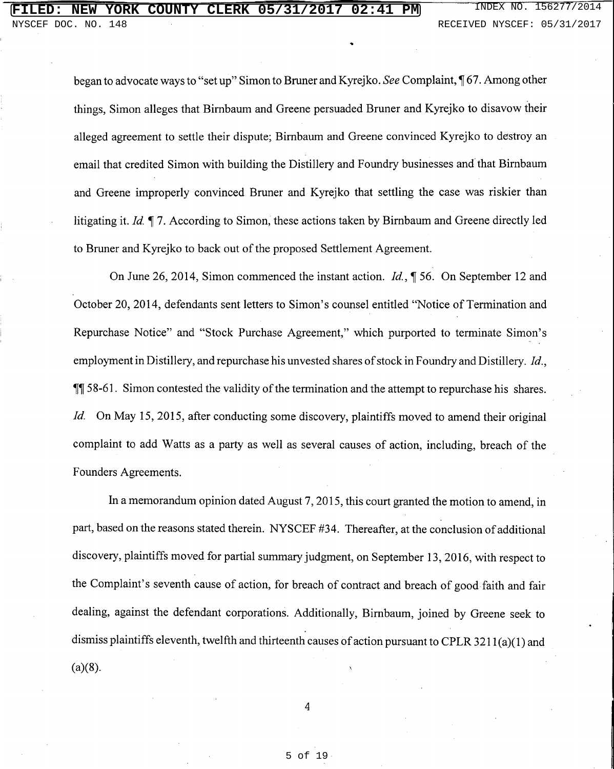began to advocate ways to "set up" Simon to Bruner and Kyrejko. See Complaint, 167. Among other things. Simon alleges that Birnbaum and Greene persuaded Bruner and Kyrejko to disavow their alleged agreement to settle their dispute; Birnbaum and Greene convinced Kyrejko to destroy an email that credited Simon with building the Distillery and Foundry businesses and that Birnbaum and Greene improperly convinced Bruner and Kyrejko that settling the case was riskier than litigating it. Id. ¶ 7. According to Simon, these actions taken by Birnbaum and Greene directly led to Bruner and Kyrejko to back out of the proposed Settlement Agreement.

On June 26, 2014, Simon commenced the instant action. *Id.*, ¶ 56. On September 12 and October 20, 2014, defendants sent letters to Simon's counsel entitled "Notice of Termination and Repurchase Notice" and "Stock Purchase Agreement," which purported to terminate Simon's employment in Distillery, and repurchase his unvested shares of stock in Foundry and Distillery. Id., **II** 58-61. Simon contested the validity of the termination and the attempt to repurchase his shares. *Id.* On May 15, 2015, after conducting some discovery, plaintiffs moved to amend their original complaint to add Watts as a party as well as several causes of action, including, breach of the Founders Agreements.

In a memorandum opinion dated August 7, 2015, this court granted the motion to amend, in part, based on the reasons stated therein. NYSCEF #34. Thereafter, at the conclusion of additional discovery, plaintiffs moved for partial summary judgment, on September 13, 2016, with respect to the Complaint's seventh cause of action, for breach of contract and breach of good faith and fair dealing, against the defendant corporations. Additionally, Birnbaum, joined by Greene seek to dismiss plaintiffs eleventh, twelfth and thirteenth causes of action pursuant to CPLR 3211(a)(1) and  $(a)(8)$ .

 $\overline{4}$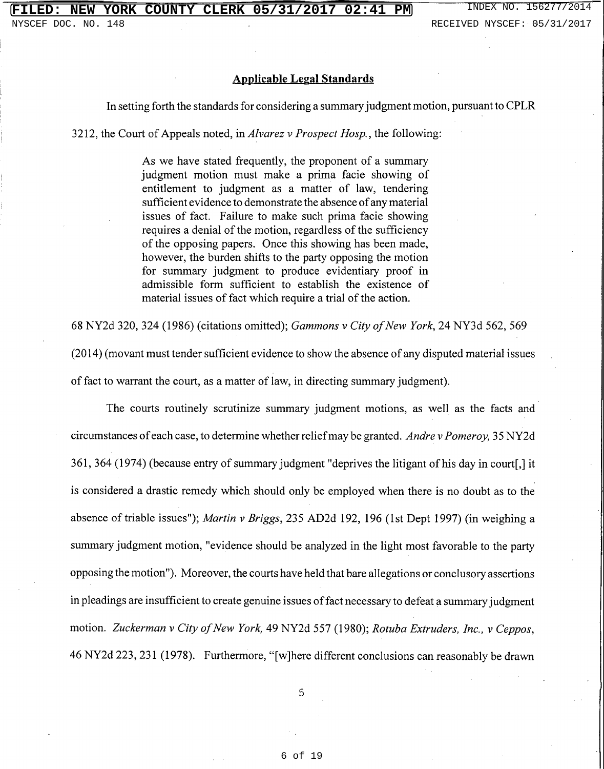### **Applicable Legal Standards**

#### In setting forth the standards for considering a summary judgment motion, pursuant to CPLR

3212, the Court of Appeals noted, in Alvarez v Prospect Hosp., the following:

As we have stated frequently, the proponent of a summary judgment motion must make a prima facie showing of entitlement to judgment as a matter of law, tendering sufficient evidence to demonstrate the absence of any material issues of fact. Failure to make such prima facie showing requires a denial of the motion, regardless of the sufficiency of the opposing papers. Once this showing has been made, however, the burden shifts to the party opposing the motion for summary judgment to produce evidentiary proof in admissible form sufficient to establish the existence of material issues of fact which require a trial of the action.

68 NY2d 320, 324 (1986) (citations omitted); Gammons v City of New York, 24 NY3d 562, 569 (2014) (movant must tender sufficient evidence to show the absence of any disputed material issues

of fact to warrant the court, as a matter of law, in directing summary judgment).

The courts routinely scrutinize summary judgment motions, as well as the facts and circumstances of each case, to determine whether relief may be granted. Andre v Pomeroy, 35 NY2d 361, 364 (1974) (because entry of summary judgment "deprives the litigant of his day in court[,] it is considered a drastic remedy which should only be employed when there is no doubt as to the absence of triable issues"); *Martin v Briggs*, 235 AD2d 192, 196 (1st Dept 1997) (in weighing a summary judgment motion, "evidence should be analyzed in the light most favorable to the party opposing the motion"). Moreover, the courts have held that bare allegations or conclusory assertions in pleadings are insufficient to create genuine issues of fact necessary to defeat a summary judgment motion. Zuckerman v City of New York, 49 NY2d 557 (1980); Rotuba Extruders, Inc., v Ceppos, 46 NY2d 223, 231 (1978). Furthermore, "[w]here different conclusions can reasonably be drawn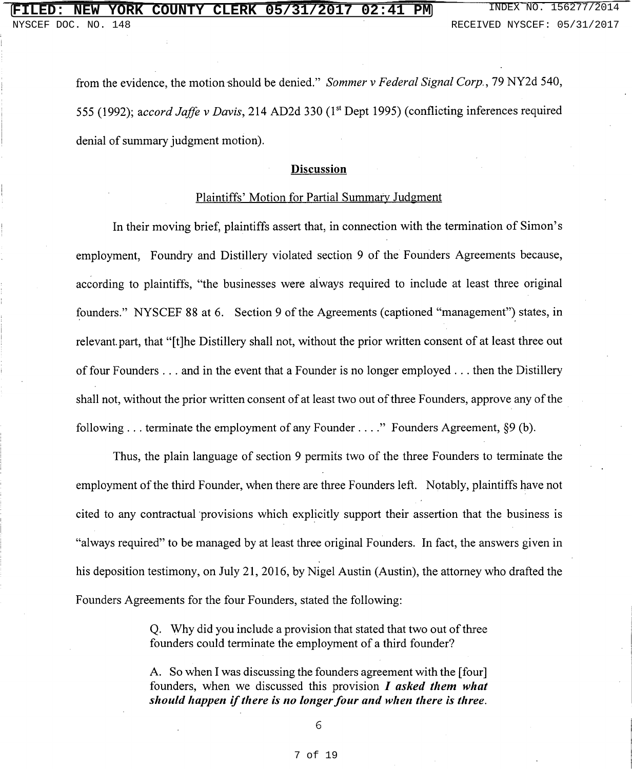from the evidence, the motion should be denied." Sommer v Federal Signal Corp., 79 NY2d 540, 555 (1992); accord Jaffe v Davis, 214 AD2d 330 (1<sup>st</sup> Dept 1995) (conflicting inferences required denial of summary judgment motion).

#### **Discussion**

#### Plaintiffs' Motion for Partial Summary Judgment

In their moving brief, plaintiffs assert that, in connection with the termination of Simon's employment. Foundry and Distillery violated section 9 of the Founders Agreements because, according to plaintiffs. "the businesses were always required to include at least three original founders." NYSCEF 88 at 6. Section 9 of the Agreements (captioned "management") states, in relevant part, that "[t]he Distillery shall not, without the prior written consent of at least three out of four Founders  $\dots$  and in the event that a Founder is no longer employed  $\dots$  then the Distillery shall not, without the prior written consent of at least two out of three Founders, approve any of the following ... terminate the employment of any Founder ...." Founders Agreement,  $\S9$  (b).

Thus, the plain language of section 9 permits two of the three Founders to terminate the employment of the third Founder, when there are three Founders left. Notably, plaintiffs have not cited to any contractual provisions which explicitly support their assertion that the business is "always required" to be managed by at least three original Founders. In fact, the answers given in his deposition testimony, on July 21, 2016, by Nigel Austin (Austin), the attorney who drafted the Founders Agreements for the four Founders, stated the following:

> Q. Why did you include a provision that stated that two out of three founders could terminate the employment of a third founder?

> A. So when I was discussing the founders agreement with the [four] founders, when we discussed this provision  $I$  asked them what should happen if there is no longer four and when there is three.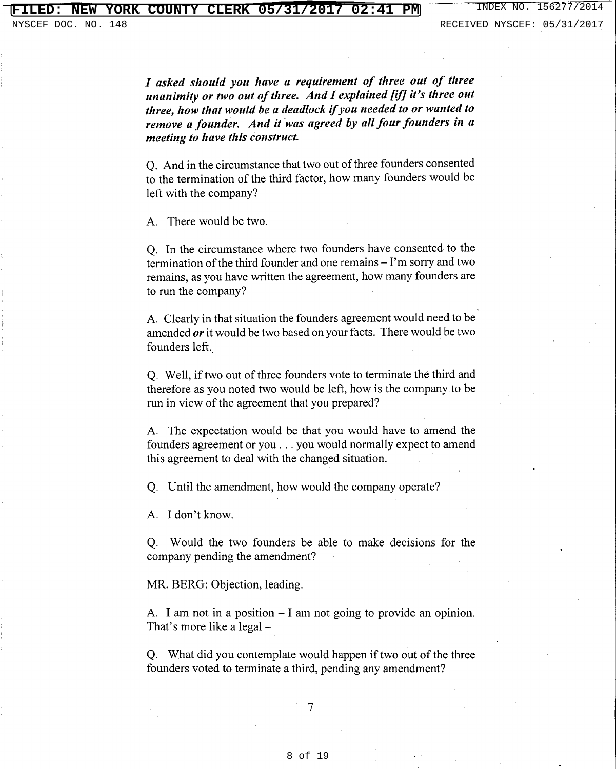I asked should you have a requirement of three out of three unanimity or two out of three. And I explained [if] it's three out three, how that would be a deadlock if you needed to or wanted to remove a founder. And it was agreed by all four founders in a meeting to have this construct.

Q. And in the circumstance that two out of three founders consented to the termination of the third factor, how many founders would be left with the company?

A. There would be two.

Q. In the circumstance where two founders have consented to the termination of the third founder and one remains  $-I$ 'm sorry and two remains, as you have written the agreement, how many founders are to run the company?

A. Clearly in that situation the founders agreement would need to be amended or it would be two based on your facts. There would be two founders left.

Q. Well, if two out of three founders vote to terminate the third and therefore as you noted two would be left, how is the company to be run in view of the agreement that you prepared?

A. The expectation would be that you would have to amend the founders agreement or you . . . you would normally expect to amend this agreement to deal with the changed situation.

Q. Until the amendment, how would the company operate?

A. I don't know.

Q. Would the two founders be able to make decisions for the company pending the amendment?

MR. BERG: Objection, leading.

A. I am not in a position  $-1$  am not going to provide an opinion. That's more like a legal –

Q. What did you contemplate would happen if two out of the three founders voted to terminate a third, pending any amendment?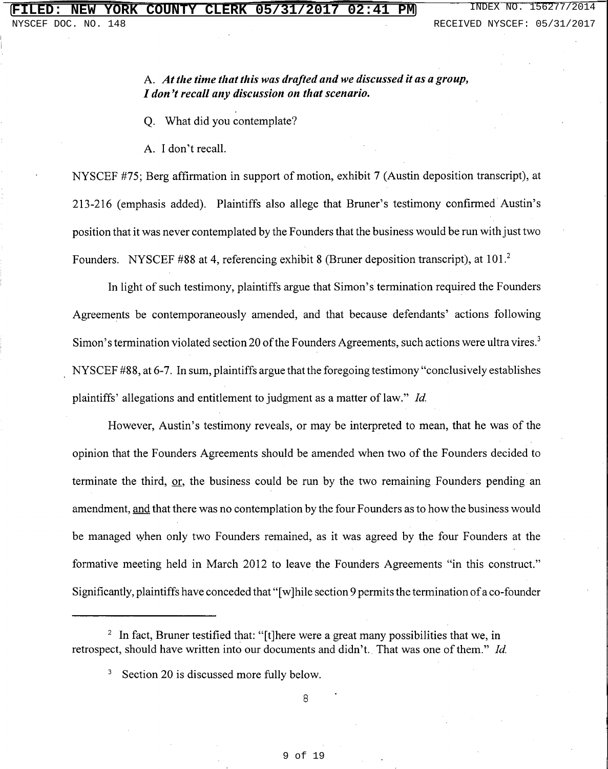### A. At the time that this was drafted and we discussed it as a group, I don't recall any discussion on that scenario.

Q. What did you contemplate?

A. I don't recall.

NYSCEF #75; Berg affirmation in support of motion, exhibit 7 (Austin deposition transcript), at 213-216 (emphasis added). Plaintiffs also allege that Bruner's testimony confirmed Austin's position that it was never contemplated by the Founders that the business would be run with just two Founders. NYSCEF #88 at 4, referencing exhibit 8 (Bruner deposition transcript), at 101.<sup>2</sup>

In light of such testimony, plaintiffs argue that Simon's termination required the Founders Agreements be contemporaneously amended, and that because defendants' actions following Simon's termination violated section 20 of the Founders Agreements, such actions were ultra vires.<sup>3</sup> NYSCEF #88, at 6-7. In sum, plaintiffs argue that the foregoing testimony "conclusively establishes plaintiffs' allegations and entitlement to judgment as a matter of law." Id.

However, Austin's testimony reveals, or may be interpreted to mean, that he was of the opinion that the Founders Agreements should be amended when two of the Founders decided to terminate the third, or, the business could be run by the two remaining Founders pending an amendment, and that there was no contemplation by the four Founders as to how the business would be managed when only two Founders remained, as it was agreed by the four Founders at the formative meeting held in March 2012 to leave the Founders Agreements "in this construct." Significantly, plaintiffs have conceded that "[w]hile section 9 permits the termination of a co-founder

<sup>&</sup>lt;sup>2</sup> In fact, Bruner testified that: "[t] here were a great many possibilities that we, in retrospect, should have written into our documents and didn't. That was one of them." Id.

<sup>&</sup>lt;sup>3</sup> Section 20 is discussed more fully below.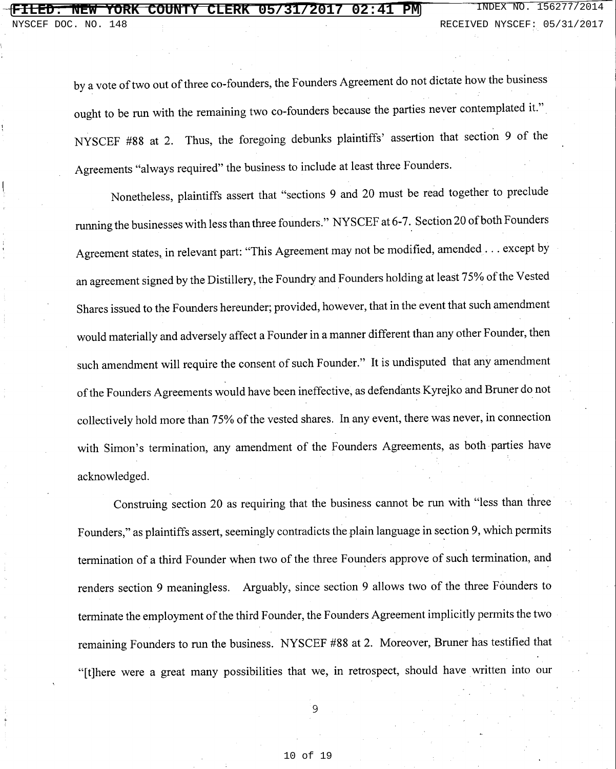by a vote of two out of three co-founders, the Founders Agreement do not dictate how the business ought to be run with the remaining two co-founders because the parties never contemplated it." NYSCEF #88 at 2. Thus, the foregoing debunks plaintiffs' assertion that section 9 of the Agreements "always required" the business to include at least three Founders.

Nonetheless, plaintiffs assert that "sections 9 and 20 must be read together to preclude running the businesses with less than three founders." NYSCEF at 6-7. Section 20 of both Founders Agreement states, in relevant part: "This Agreement may not be modified, amended . . . except by an agreement signed by the Distillery, the Foundry and Founders holding at least 75% of the Vested Shares issued to the Founders hereunder; provided, however, that in the event that such amendment would materially and adversely affect a Founder in a manner different than any other Founder, then such amendment will require the consent of such Founder." It is undisputed that any amendment of the Founders Agreements would have been ineffective, as defendants Kyrejko and Bruner do not collectively hold more than 75% of the vested shares. In any event, there was never, in connection with Simon's termination, any amendment of the Founders Agreements, as both parties have acknowledged.

Construing section 20 as requiring that the business cannot be run with "less than three Founders," as plaintiffs assert, seemingly contradicts the plain language in section 9, which permits termination of a third Founder when two of the three Founders approve of such termination, and renders section 9 meaningless. Arguably, since section 9 allows two of the three Founders to terminate the employment of the third Founder, the Founders Agreement implicitly permits the two remaining Founders to run the business. NYSCEF #88 at 2. Moreover, Bruner has testified that "[t]here were a great many possibilities that we, in retrospect, should have written into our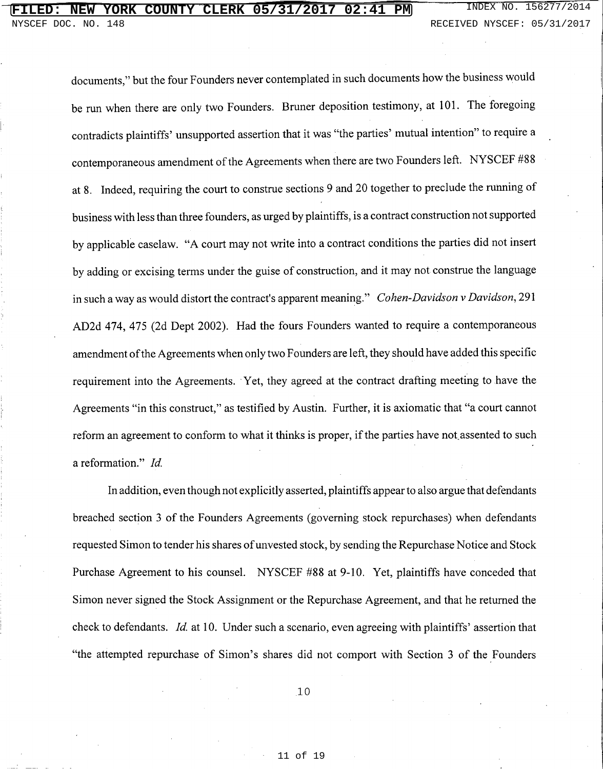# **FILED: NEW YORK COUNTY CLERK 05/31/2017 02:41 PM** INDEX NO. 156277/2014

documents," but the four Founders never contemplated in such documents how the business would be run when there are only two Founders. Bruner deposition testimony, at 101. The foregoing contradicts plaintiffs' unsupported assertion that it was "the parties' mutual intention" to require a contemporaneous amendment of the Agreements when there are two Founders left. NYSCEF #88 at 8. Indeed, requiring the court to construe sections 9 and 20 together to preclude the running of business with less than three founders, as urged by plaintiffs, is a contract construction not supported by applicable caselaw. "A court may not write into a contract conditions the parties did not insert by adding or excising terms under the guise of construction, and it may not construe the language in such a way as would distort the contract's apparent meaning." Cohen-Davidson v Davidson, 291 AD2d 474, 475 (2d Dept 2002). Had the fours Founders wanted to require a contemporaneous amendment of the Agreements when only two Founders are left, they should have added this specific requirement into the Agreements. Yet, they agreed at the contract drafting meeting to have the Agreements "in this construct," as testified by Austin. Further, it is axiomatic that "a court cannot reform an agreement to conform to what it thinks is proper, if the parties have not assented to such a reformation." Id.

In addition, even though not explicitly asserted, plaintiffs appear to also argue that defendants breached section 3 of the Founders Agreements (governing stock repurchases) when defendants requested Simon to tender his shares of unvested stock, by sending the Repurchase Notice and Stock Purchase Agreement to his counsel. NYSCEF #88 at 9-10. Yet, plaintiffs have conceded that Simon never signed the Stock Assignment or the Repurchase Agreement, and that he returned the check to defendants. Id. at 10. Under such a scenario, even agreeing with plaintiffs' assertion that "the attempted repurchase of Simon's shares did not comport with Section 3 of the Founders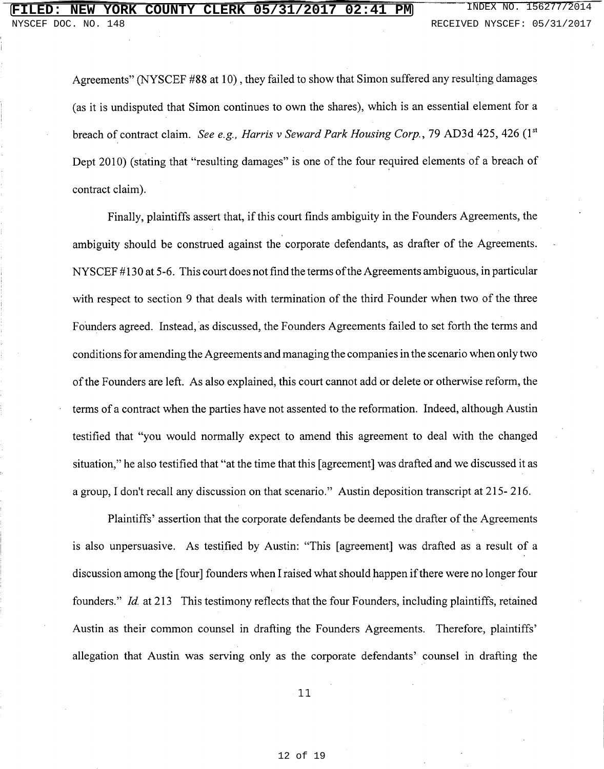Agreements" (NYSCEF #88 at 10), they failed to show that Simon suffered any resulting damages (as it is undisputed that Simon continues to own the shares), which is an essential element for a breach of contract claim. See e.g., Harris v Seward Park Housing Corp., 79 AD3d 425, 426  $(1<sup>st</sup>$ Dept 2010) (stating that "resulting damages" is one of the four required elements of a breach of contract claim).

Finally, plaintiffs assert that, if this court finds ambiguity in the Founders Agreements, the ambiguity should be construed against the corporate defendants, as drafter of the Agreements. NYSCEF #130 at 5-6. This court does not find the terms of the Agreements ambiguous, in particular with respect to section 9 that deals with termination of the third Founder when two of the three Founders agreed. Instead, as discussed, the Founders Agreements failed to set forth the terms and conditions for amending the Agreements and managing the companies in the scenario when only two of the Founders are left. As also explained, this court cannot add or delete or otherwise reform, the terms of a contract when the parties have not assented to the reformation. Indeed, although Austin testified that "you would normally expect to amend this agreement to deal with the changed situation," he also testified that "at the time that this [agreement] was drafted and we discussed it as a group, I don't recall any discussion on that scenario." Austin deposition transcript at 215-216.

Plaintiffs' assertion that the corporate defendants be deemed the drafter of the Agreements is also unpersuasive. As testified by Austin: "This [agreement] was drafted as a result of a discussion among the [four] founders when I raised what should happen if there were no longer four founders." *Id.* at 213 This testimony reflects that the four Founders, including plaintiffs, retained Austin as their common counsel in drafting the Founders Agreements. Therefore, plaintiffs' allegation that Austin was serving only as the corporate defendants' counsel in drafting the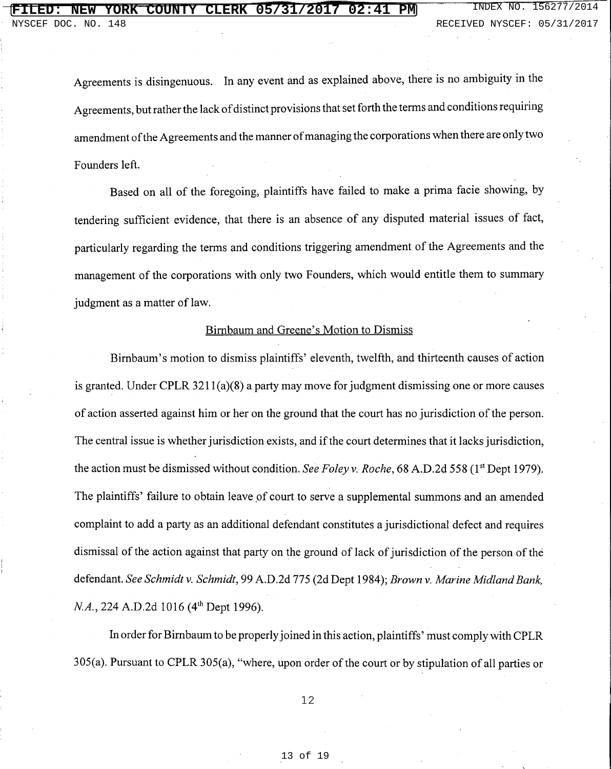Agreements is disingenuous. In any event and as explained above, there is no ambiguity in the Agreements, but rather the lack of distinct provisions that set forth the terms and conditions requiring amendment of the Agreements and the manner of managing the corporations when there are only two Founders left.

Based on all of the foregoing, plaintiffs have failed to make a prima facie showing, by tendering sufficient evidence, that there is an absence of any disputed material issues of fact, particularly regarding the terms and conditions triggering amendment of the Agreements and the management of the corporations with only two Founders, which would entitle them to summary judgment as a matter of law.

### Birnbaum and Greene's Motion to Dismiss

Birnbaum's motion to dismiss plaintiffs' eleventh, twelfth, and thirteenth causes of action is granted. Under CPLR  $3211(a)(8)$  a party may move for judgment dismissing one or more causes of action asserted against him or her on the ground that the court has no jurisdiction of the person. The central issue is whether jurisdiction exists, and if the court determines that it lacks jurisdiction, the action must be dismissed without condition. See Foley v. Roche, 68 A.D.2d 558 (1<sup>st</sup> Dept 1979). The plaintiffs' failure to obtain leave of court to serve a supplemental summons and an amended complaint to add a party as an additional defendant constitutes a jurisdictional defect and requires dismissal of the action against that party on the ground of lack of jurisdiction of the person of the defendant. See Schmidt v. Schmidt, 99 A.D.2d 775 (2d Dept 1984); Brown v. Marine Midland Bank, N.A., 224 A.D.2d 1016 (4<sup>th</sup> Dept 1996).

In order for Birnbaum to be properly joined in this action, plaintiffs' must comply with CPLR 305(a). Pursuant to CPLR 305(a), "where, upon order of the court or by stipulation of all parties or

 $12$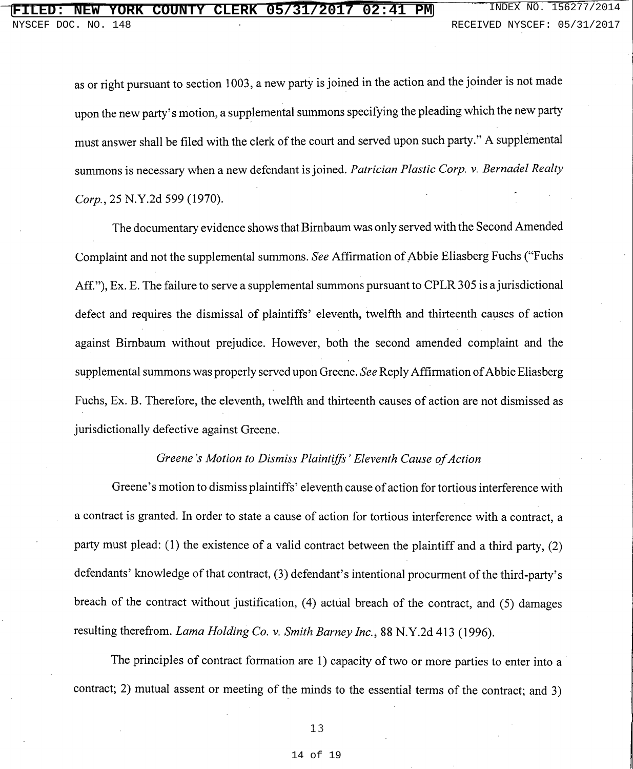as or right pursuant to section 1003, a new party is joined in the action and the joinder is not made upon the new party's motion, a supplemental summons specifying the pleading which the new party must answer shall be filed with the clerk of the court and served upon such party." A supplemental summons is necessary when a new defendant is joined. Patrician Plastic Corp. v. Bernadel Realty Corp., 25 N.Y.2d 599 (1970).

The documentary evidence shows that Birnbaum was only served with the Second Amended Complaint and not the supplemental summons. See Affirmation of Abbie Eliasberg Fuchs ("Fuchs Aff."), Ex. E. The failure to serve a supplemental summons pursuant to CPLR 305 is a jurisdictional defect and requires the dismissal of plaintiffs' eleventh, twelfth and thirteenth causes of action against Birnbaum without prejudice. However, both the second amended complaint and the supplemental summons was properly served upon Greene. See Reply Affirmation of Abbie Eliasberg Fuchs, Ex. B. Therefore, the eleventh, twelfth and thirteenth causes of action are not dismissed as jurisdictionally defective against Greene.

### Greene's Motion to Dismiss Plaintiffs' Eleventh Cause of Action

Greene's motion to dismiss plaintiffs' eleventh cause of action for tortious interference with a contract is granted. In order to state a cause of action for tortious interference with a contract, a party must plead: (1) the existence of a valid contract between the plaintiff and a third party, (2) defendants' knowledge of that contract, (3) defendant's intentional procurment of the third-party's breach of the contract without justification, (4) actual breach of the contract, and (5) damages resulting therefrom. *Lama Holding Co. v. Smith Barney Inc.*, 88 N.Y.2d 413 (1996).

The principles of contract formation are 1) capacity of two or more parties to enter into a contract; 2) mutual assent or meeting of the minds to the essential terms of the contract; and 3)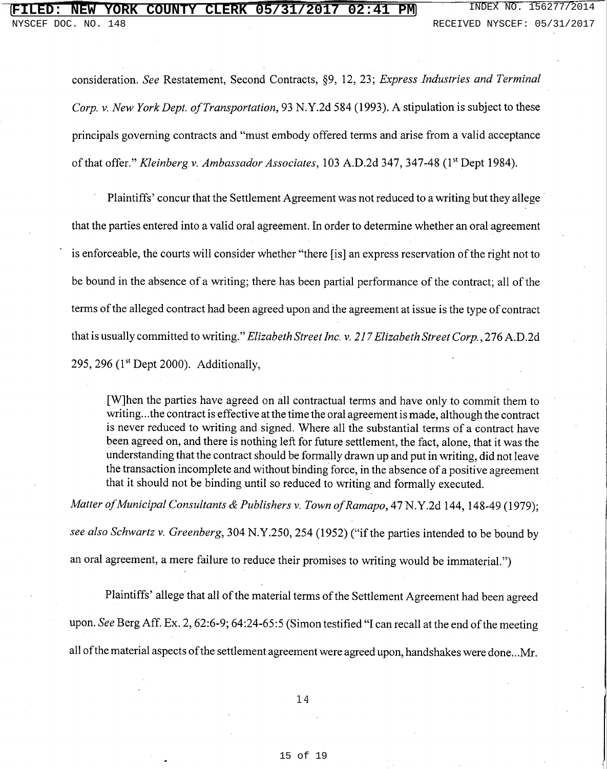## **NEW YORK COUNTY CLERK 05/31/2017 02:41 PM** INDEX NO. 156277/2014

consideration. See Restatement, Second Contracts, §9, 12, 23; Express Industries and Terminal Corp. v. New York Dept. of Transportation, 93 N.Y.2d 584 (1993). A stipulation is subject to these principals governing contracts and "must embody offered terms and arise from a valid acceptance of that offer." Kleinberg v. Ambassador Associates, 103 A.D.2d 347, 347-48 (1st Dept 1984).

Plaintiffs' concur that the Settlement Agreement was not reduced to a writing but they allege that the parties entered into a valid oral agreement. In order to determine whether an oral agreement is enforceable, the courts will consider whether "there [is] an express reservation of the right not to be bound in the absence of a writing; there has been partial performance of the contract; all of the terms of the alleged contract had been agreed upon and the agreement at issue is the type of contract that is usually committed to writing." Elizabeth Street Inc. v. 217 Elizabeth Street Corp., 276 A.D.2d 295, 296  $(1<sup>st</sup>$  Dept 2000). Additionally,

[W]hen the parties have agreed on all contractual terms and have only to commit them to writing...the contract is effective at the time the oral agreement is made, although the contract is never reduced to writing and signed. Where all the substantial terms of a contract have been agreed on, and there is nothing left for future settlement, the fact, alone, that it was the understanding that the contract should be formally drawn up and put in writing, did not leave the transaction incomplete and without binding force, in the absence of a positive agreement that it should not be binding until so reduced to writing and formally executed.

Matter of Municipal Consultants & Publishers v. Town of Ramapo, 47 N.Y.2d 144, 148-49 (1979); see also Schwartz v. Greenberg, 304 N.Y.250, 254 (1952) ("if the parties intended to be bound by an oral agreement, a mere failure to reduce their promises to writing would be immaterial.")

Plaintiffs' allege that all of the material terms of the Settlement Agreement had been agreed upon. See Berg Aff. Ex. 2, 62:6-9; 64:24-65:5 (Simon testified "I can recall at the end of the meeting all of the material aspects of the settlement agreement were agreed upon, handshakes were done...Mr.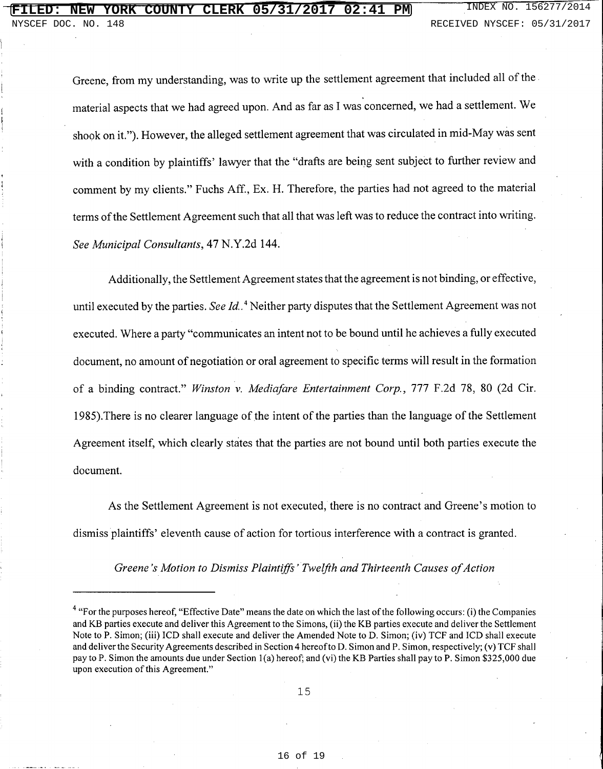Greene, from my understanding, was to write up the settlement agreement that included all of the material aspects that we had agreed upon. And as far as I was concerned, we had a settlement. We shook on it."). However, the alleged settlement agreement that was circulated in mid-May was sent with a condition by plaintiffs' lawyer that the "drafts are being sent subject to further review and comment by my clients." Fuchs Aff., Ex. H. Therefore, the parties had not agreed to the material terms of the Settlement Agreement such that all that was left was to reduce the contract into writing. See Municipal Consultants, 47 N.Y.2d 144.

Additionally, the Settlement Agreement states that the agreement is not binding, or effective, until executed by the parties. See Id.<sup>4</sup> Neither party disputes that the Settlement Agreement was not executed. Where a party "communicates an intent not to be bound until he achieves a fully executed document, no amount of negotiation or oral agreement to specific terms will result in the formation of a binding contract." Winston v. Mediafare Entertainment Corp., 777 F.2d 78, 80 (2d Cir. 1985). There is no clearer language of the intent of the parties than the language of the Settlement Agreement itself, which clearly states that the parties are not bound until both parties execute the document.

As the Settlement Agreement is not executed, there is no contract and Greene's motion to dismiss plaintiffs' eleventh cause of action for tortious interference with a contract is granted.

Greene's Motion to Dismiss Plaintiffs' Twelfth and Thirteenth Causes of Action

<sup>&</sup>lt;sup>4</sup> "For the purposes hereof, "Effective Date" means the date on which the last of the following occurs: (i) the Companies and KB parties execute and deliver this Agreement to the Simons, (ii) the KB parties execute and deliver the Settlement Note to P. Simon; (iii) ICD shall execute and deliver the Amended Note to D. Simon; (iv) TCF and ICD shall execute and deliver the Security Agreements described in Section 4 hereof to D. Simon and P. Simon, respectively; (v) TCF shall pay to P. Simon the amounts due under Section 1(a) hereof; and (vi) the KB Parties shall pay to P. Simon \$325,000 due upon execution of this Agreement."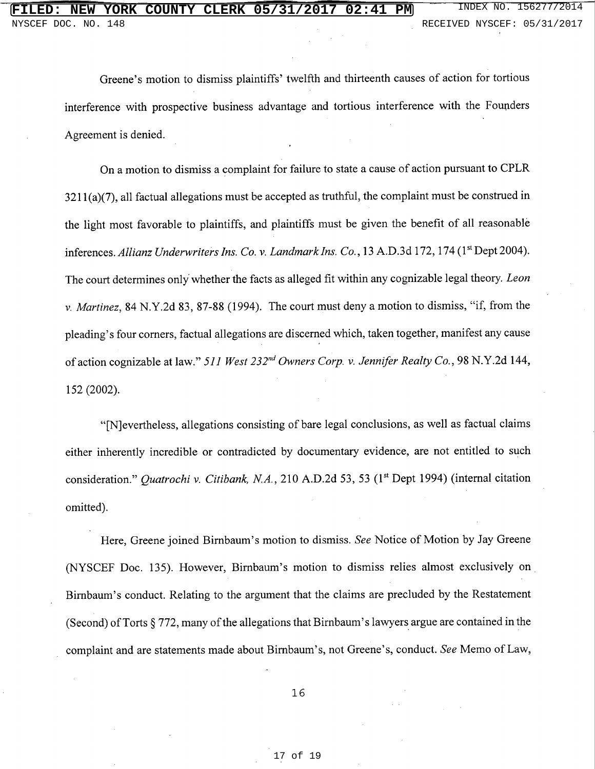Greene's motion to dismiss plaintiffs' twelfth and thirteenth causes of action for tortious interference with prospective business advantage and tortious interference with the Founders Agreement is denied.

On a motion to dismiss a complaint for failure to state a cause of action pursuant to CPLR  $3211(a)(7)$ , all factual allegations must be accepted as truthful, the complaint must be construed in the light most favorable to plaintiffs, and plaintiffs must be given the benefit of all reasonable inferences. Allianz Underwriters Ins. Co. v. Landmark Ins. Co., 13 A.D.3d 172, 174 (1st Dept 2004). The court determines only whether the facts as alleged fit within any cognizable legal theory. Leon v. Martinez, 84 N.Y.2d 83, 87-88 (1994). The court must deny a motion to dismiss, "if, from the pleading's four corners, factual allegations are discerned which, taken together, manifest any cause of action cognizable at law." 511 West 232<sup>nd</sup> Owners Corp. v. Jennifer Realty Co., 98 N.Y.2d 144, 152 (2002).

"[N] evertheless, allegations consisting of bare legal conclusions, as well as factual claims either inherently incredible or contradicted by documentary evidence, are not entitled to such consideration." Quatrochi v. Citibank, N.A., 210 A.D.2d 53, 53 (1st Dept 1994) (internal citation omitted).

Here, Greene joined Birnbaum's motion to dismiss. See Notice of Motion by Jay Greene (NYSCEF Doc. 135). However, Birnbaum's motion to dismiss relies almost exclusively on Birnbaum's conduct. Relating to the argument that the claims are precluded by the Restatement (Second) of Torts § 772, many of the allegations that Birnbaum's lawyers argue are contained in the complaint and are statements made about Birnbaum's, not Greene's, conduct. See Memo of Law,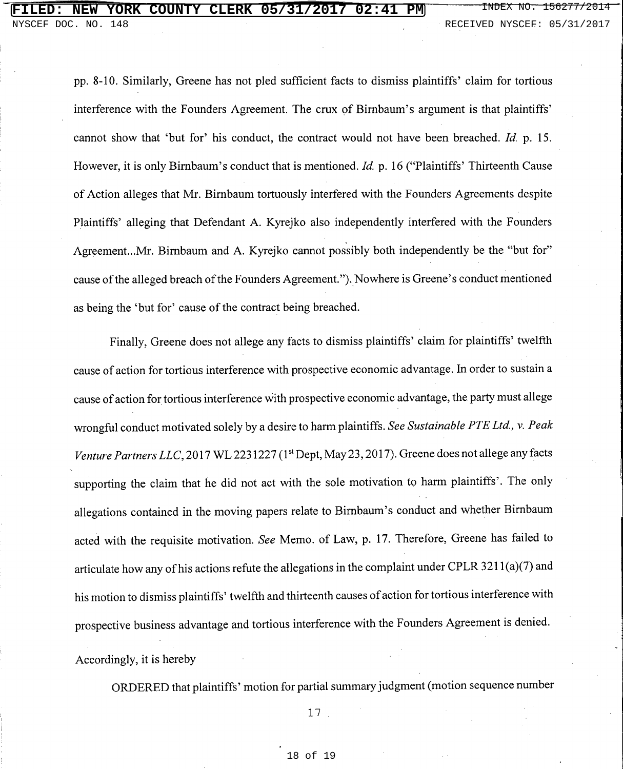DOC. NO. 148 RECEIVED NYSCEF: 05/31/2017

pp. 8-10. Similarly, Greene has not pled sufficient facts to dismiss plaintiffs' claim for tortious interference with the Founders Agreement. The crux of Birnbaum's argument is that plaintiffs' cannot show that 'but for' his conduct, the contract would not have been breached. Id. p. 15. However, it is only Birnbaum's conduct that is mentioned. Id. p. 16 ("Plaintiffs' Thirteenth Cause" of Action alleges that Mr. Birnbaum tortuously interfered with the Founders Agreements despite Plaintiffs' alleging that Defendant A. Kyrejko also independently interfered with the Founders Agreement...Mr. Birnbaum and A. Kyrejko cannot possibly both independently be the "but for" cause of the alleged breach of the Founders Agreement."). Nowhere is Greene's conduct mentioned as being the 'but for' cause of the contract being breached.

Finally, Greene does not allege any facts to dismiss plaintiffs' claim for plaintiffs' twelfth cause of action for tortious interference with prospective economic advantage. In order to sustain a cause of action for tortious interference with prospective economic advantage, the party must allege wrongful conduct motivated solely by a desire to harm plaintiffs. See Sustainable PTE Ltd., v. Peak Venture Partners LLC, 2017 WL 2231227 (1st Dept, May 23, 2017). Greene does not allege any facts supporting the claim that he did not act with the sole motivation to harm plaintiffs'. The only allegations contained in the moving papers relate to Birnbaum's conduct and whether Birnbaum acted with the requisite motivation. See Memo. of Law, p. 17. Therefore, Greene has failed to articulate how any of his actions refute the allegations in the complaint under CPLR 3211(a)(7) and his motion to dismiss plaintiffs' twelfth and thirteenth causes of action for tortious interference with prospective business advantage and tortious interference with the Founders Agreement is denied. Accordingly, it is hereby

ORDERED that plaintiffs' motion for partial summary judgment (motion sequence number